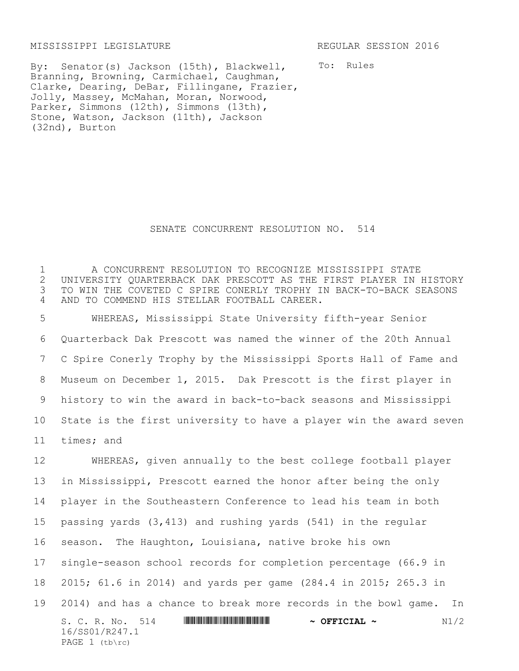## MISSISSIPPI LEGISLATURE REGULAR SESSION 2016

PAGE  $1$  (tb\rc)

By: Senator(s) Jackson (15th), Blackwell, Branning, Browning, Carmichael, Caughman, Clarke, Dearing, DeBar, Fillingane, Frazier, Jolly, Massey, McMahan, Moran, Norwood, Parker, Simmons (12th), Simmons (13th), Stone, Watson, Jackson (11th), Jackson (32nd), Burton

To: Rules

## SENATE CONCURRENT RESOLUTION NO. 514

1 A CONCURRENT RESOLUTION TO RECOGNIZE MISSISSIPPI STATE 2 UNIVERSITY QUARTERBACK DAK PRESCOTT AS THE FIRST PLAYER IN HISTORY<br>3 TO WIN THE COVETED C SPIRE CONERLY TROPHY IN BACK-TO-BACK SEASONS TO WIN THE COVETED C SPIRE CONERLY TROPHY IN BACK-TO-BACK SEASONS 4 AND TO COMMEND HIS STELLAR FOOTBALL CAREER.

 WHEREAS, Mississippi State University fifth-year Senior Quarterback Dak Prescott was named the winner of the 20th Annual C Spire Conerly Trophy by the Mississippi Sports Hall of Fame and Museum on December 1, 2015. Dak Prescott is the first player in history to win the award in back-to-back seasons and Mississippi State is the first university to have a player win the award seven times; and

S. C. R. No. 514 **WILLIAM CONSERVERT & OFFICIAL ~** N1/2 16/SS01/R247.1 WHEREAS, given annually to the best college football player in Mississippi, Prescott earned the honor after being the only player in the Southeastern Conference to lead his team in both passing yards (3,413) and rushing yards (541) in the regular season. The Haughton, Louisiana, native broke his own single-season school records for completion percentage (66.9 in 2015; 61.6 in 2014) and yards per game (284.4 in 2015; 265.3 in 2014) and has a chance to break more records in the bowl game. In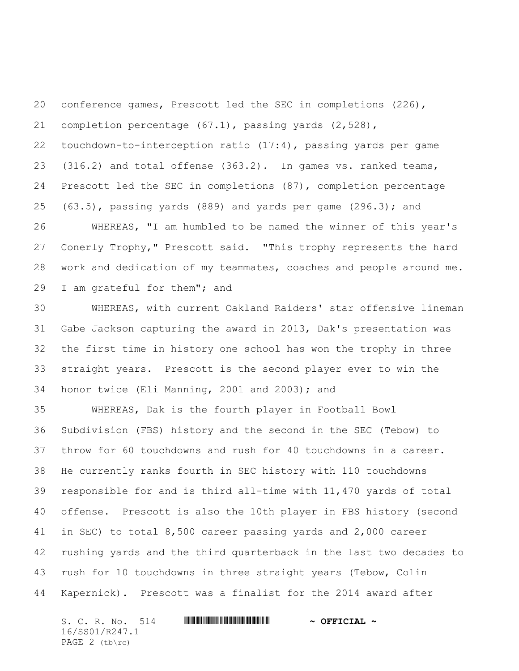conference games, Prescott led the SEC in completions (226), completion percentage (67.1), passing yards (2,528), touchdown-to-interception ratio (17:4), passing yards per game (316.2) and total offense (363.2). In games vs. ranked teams, Prescott led the SEC in completions (87), completion percentage (63.5), passing yards (889) and yards per game (296.3); and

 WHEREAS, "I am humbled to be named the winner of this year's Conerly Trophy," Prescott said. "This trophy represents the hard work and dedication of my teammates, coaches and people around me. I am grateful for them"; and

 WHEREAS, with current Oakland Raiders' star offensive lineman Gabe Jackson capturing the award in 2013, Dak's presentation was the first time in history one school has won the trophy in three straight years. Prescott is the second player ever to win the honor twice (Eli Manning, 2001 and 2003); and

 WHEREAS, Dak is the fourth player in Football Bowl Subdivision (FBS) history and the second in the SEC (Tebow) to throw for 60 touchdowns and rush for 40 touchdowns in a career. He currently ranks fourth in SEC history with 110 touchdowns responsible for and is third all-time with 11,470 yards of total offense. Prescott is also the 10th player in FBS history (second in SEC) to total 8,500 career passing yards and 2,000 career rushing yards and the third quarterback in the last two decades to rush for 10 touchdowns in three straight years (Tebow, Colin Kapernick). Prescott was a finalist for the 2014 award after

 $S. C. R. No. 514$  **WITH FIREAL TERM** ~ OFFICIAL ~ 16/SS01/R247.1 PAGE 2 (tb\rc)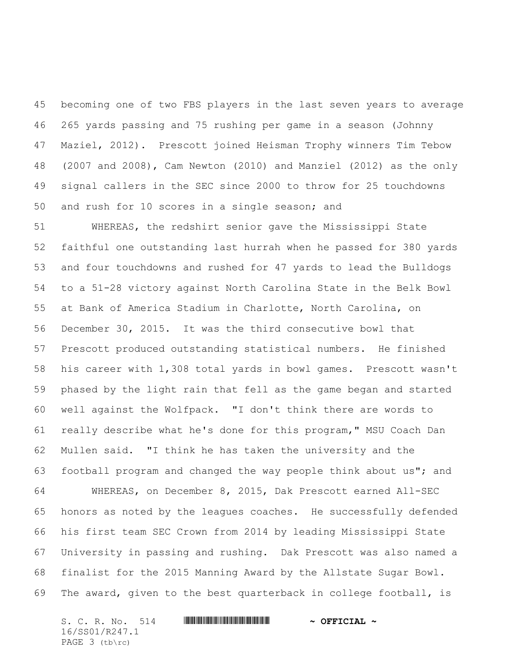becoming one of two FBS players in the last seven years to average 265 yards passing and 75 rushing per game in a season (Johnny Maziel, 2012). Prescott joined Heisman Trophy winners Tim Tebow (2007 and 2008), Cam Newton (2010) and Manziel (2012) as the only signal callers in the SEC since 2000 to throw for 25 touchdowns and rush for 10 scores in a single season; and

 WHEREAS, the redshirt senior gave the Mississippi State faithful one outstanding last hurrah when he passed for 380 yards and four touchdowns and rushed for 47 yards to lead the Bulldogs to a 51-28 victory against North Carolina State in the Belk Bowl at Bank of America Stadium in Charlotte, North Carolina, on December 30, 2015. It was the third consecutive bowl that Prescott produced outstanding statistical numbers. He finished his career with 1,308 total yards in bowl games. Prescott wasn't phased by the light rain that fell as the game began and started well against the Wolfpack. "I don't think there are words to really describe what he's done for this program," MSU Coach Dan Mullen said. "I think he has taken the university and the football program and changed the way people think about us"; and WHEREAS, on December 8, 2015, Dak Prescott earned All-SEC honors as noted by the leagues coaches. He successfully defended his first team SEC Crown from 2014 by leading Mississippi State University in passing and rushing. Dak Prescott was also named a finalist for the 2015 Manning Award by the Allstate Sugar Bowl. The award, given to the best quarterback in college football, is

S. C. R. No. 514 **WILLIAM CONTRACT & OFFICIAL ~** 16/SS01/R247.1 PAGE 3 (tb\rc)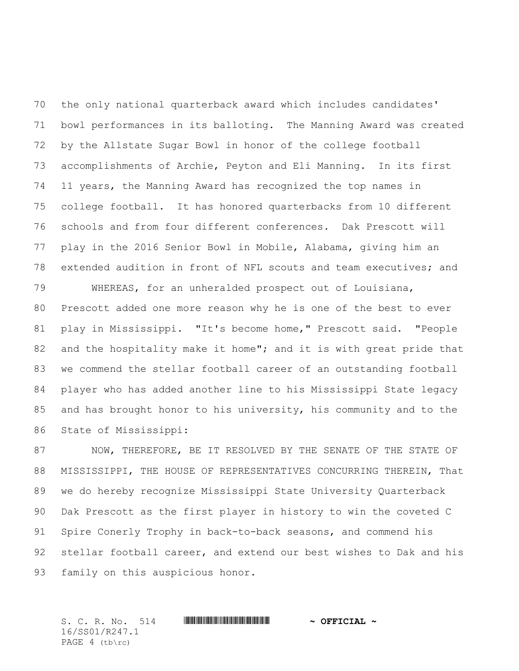the only national quarterback award which includes candidates' bowl performances in its balloting. The Manning Award was created by the Allstate Sugar Bowl in honor of the college football accomplishments of Archie, Peyton and Eli Manning. In its first 11 years, the Manning Award has recognized the top names in college football. It has honored quarterbacks from 10 different schools and from four different conferences. Dak Prescott will play in the 2016 Senior Bowl in Mobile, Alabama, giving him an extended audition in front of NFL scouts and team executives; and

 WHEREAS, for an unheralded prospect out of Louisiana, Prescott added one more reason why he is one of the best to ever play in Mississippi. "It's become home," Prescott said. "People 82 and the hospitality make it home"; and it is with great pride that we commend the stellar football career of an outstanding football player who has added another line to his Mississippi State legacy and has brought honor to his university, his community and to the State of Mississippi:

87 NOW, THEREFORE, BE IT RESOLVED BY THE SENATE OF THE STATE OF MISSISSIPPI, THE HOUSE OF REPRESENTATIVES CONCURRING THEREIN, That we do hereby recognize Mississippi State University Quarterback Dak Prescott as the first player in history to win the coveted C Spire Conerly Trophy in back-to-back seasons, and commend his stellar football career, and extend our best wishes to Dak and his family on this auspicious honor.

| S. C. R. No. 514 |  | $\sim$ OFFICIAL $\sim$ |
|------------------|--|------------------------|
| 16/SS01/R247.1   |  |                        |
| PAGE $4$ (tb\rc) |  |                        |